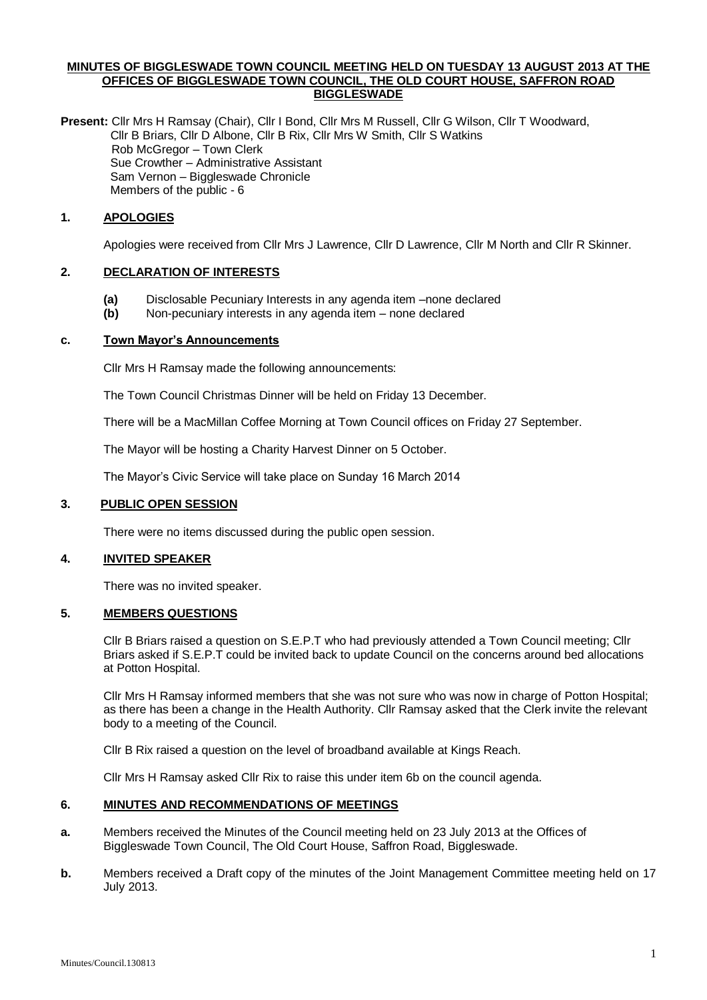#### **MINUTES OF BIGGLESWADE TOWN COUNCIL MEETING HELD ON TUESDAY 13 AUGUST 2013 AT THE OFFICES OF BIGGLESWADE TOWN COUNCIL, THE OLD COURT HOUSE, SAFFRON ROAD BIGGLESWADE**

**Present:** Cllr Mrs H Ramsay (Chair), Cllr I Bond, Cllr Mrs M Russell, Cllr G Wilson, Cllr T Woodward, Cllr B Briars, Cllr D Albone, Cllr B Rix, Cllr Mrs W Smith, Cllr S Watkins Rob McGregor – Town Clerk Sue Crowther – Administrative Assistant Sam Vernon – Biggleswade Chronicle Members of the public - 6

## **1. APOLOGIES**

Apologies were received from Cllr Mrs J Lawrence, Cllr D Lawrence, Cllr M North and Cllr R Skinner.

## **2. DECLARATION OF INTERESTS**

- **(a)** Disclosable Pecuniary Interests in any agenda item –none declared
- **(b)** Non-pecuniary interests in any agenda item none declared

#### **c. Town Mayor's Announcements**

Cllr Mrs H Ramsay made the following announcements:

The Town Council Christmas Dinner will be held on Friday 13 December.

There will be a MacMillan Coffee Morning at Town Council offices on Friday 27 September.

The Mayor will be hosting a Charity Harvest Dinner on 5 October.

The Mayor's Civic Service will take place on Sunday 16 March 2014

#### **3. PUBLIC OPEN SESSION**

There were no items discussed during the public open session.

#### **4. INVITED SPEAKER**

There was no invited speaker.

#### **5. MEMBERS QUESTIONS**

Cllr B Briars raised a question on S.E.P.T who had previously attended a Town Council meeting; Cllr Briars asked if S.E.P.T could be invited back to update Council on the concerns around bed allocations at Potton Hospital.

Cllr Mrs H Ramsay informed members that she was not sure who was now in charge of Potton Hospital; as there has been a change in the Health Authority. Cllr Ramsay asked that the Clerk invite the relevant body to a meeting of the Council.

Cllr B Rix raised a question on the level of broadband available at Kings Reach.

Cllr Mrs H Ramsay asked Cllr Rix to raise this under item 6b on the council agenda.

#### **6. MINUTES AND RECOMMENDATIONS OF MEETINGS**

- **a.** Members received the Minutes of the Council meeting held on 23 July 2013 at the Offices of Biggleswade Town Council, The Old Court House, Saffron Road, Biggleswade.
- **b.** Members received a Draft copy of the minutes of the Joint Management Committee meeting held on 17 July 2013.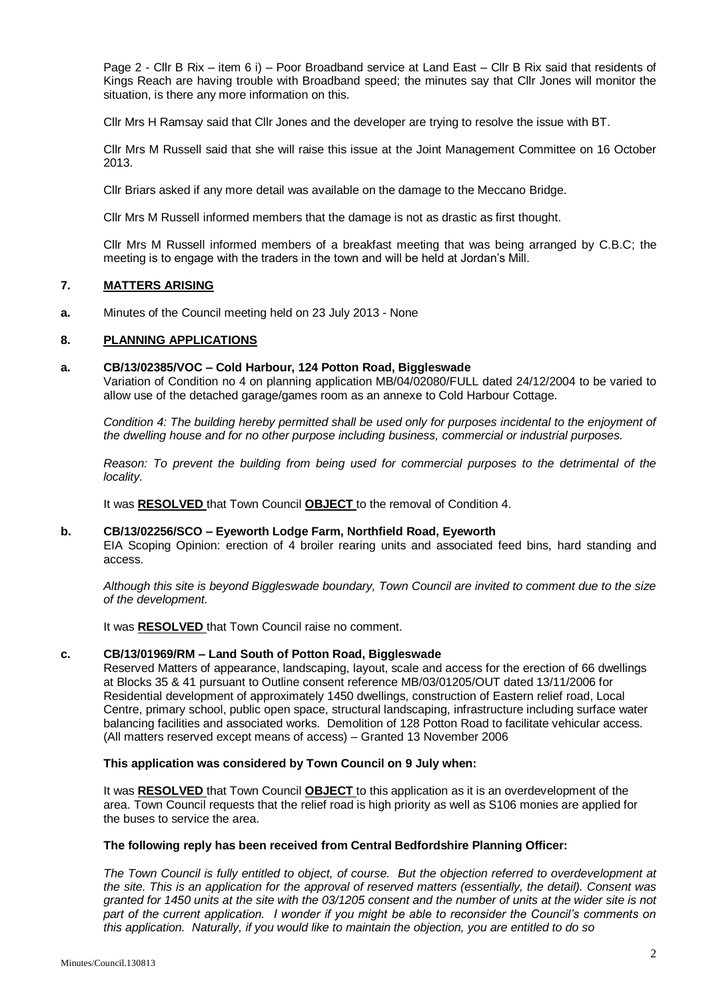Page 2 - Cllr B Rix – item 6 i) – Poor Broadband service at Land East – Cllr B Rix said that residents of Kings Reach are having trouble with Broadband speed; the minutes say that Cllr Jones will monitor the situation, is there any more information on this.

Cllr Mrs H Ramsay said that Cllr Jones and the developer are trying to resolve the issue with BT.

Cllr Mrs M Russell said that she will raise this issue at the Joint Management Committee on 16 October 2013.

Cllr Briars asked if any more detail was available on the damage to the Meccano Bridge.

Cllr Mrs M Russell informed members that the damage is not as drastic as first thought.

Cllr Mrs M Russell informed members of a breakfast meeting that was being arranged by C.B.C; the meeting is to engage with the traders in the town and will be held at Jordan's Mill.

# **7. MATTERS ARISING**

**a.** Minutes of the Council meeting held on 23 July 2013 - None

## **8. PLANNING APPLICATIONS**

#### **a. CB/13/02385/VOC – Cold Harbour, 124 Potton Road, Biggleswade**

Variation of Condition no 4 on planning application MB/04/02080/FULL dated 24/12/2004 to be varied to allow use of the detached garage/games room as an annexe to Cold Harbour Cottage.

*Condition 4: The building hereby permitted shall be used only for purposes incidental to the enjoyment of the dwelling house and for no other purpose including business, commercial or industrial purposes.*

*Reason: To prevent the building from being used for commercial purposes to the detrimental of the locality.*

It was **RESOLVED** that Town Council **OBJECT** to the removal of Condition 4.

#### **b. CB/13/02256/SCO – Eyeworth Lodge Farm, Northfield Road, Eyeworth**

EIA Scoping Opinion: erection of 4 broiler rearing units and associated feed bins, hard standing and access.

*Although this site is beyond Biggleswade boundary, Town Council are invited to comment due to the size of the development.*

It was **RESOLVED** that Town Council raise no comment.

#### **c. CB/13/01969/RM – Land South of Potton Road, Biggleswade**

Reserved Matters of appearance, landscaping, layout, scale and access for the erection of 66 dwellings at Blocks 35 & 41 pursuant to Outline consent reference MB/03/01205/OUT dated 13/11/2006 for Residential development of approximately 1450 dwellings, construction of Eastern relief road, Local Centre, primary school, public open space, structural landscaping, infrastructure including surface water balancing facilities and associated works. Demolition of 128 Potton Road to facilitate vehicular access. (All matters reserved except means of access) – Granted 13 November 2006

#### **This application was considered by Town Council on 9 July when:**

It was **RESOLVED** that Town Council **OBJECT** to this application as it is an overdevelopment of the area. Town Council requests that the relief road is high priority as well as S106 monies are applied for the buses to service the area.

#### **The following reply has been received from Central Bedfordshire Planning Officer:**

*The Town Council is fully entitled to object, of course. But the objection referred to overdevelopment at the site. This is an application for the approval of reserved matters (essentially, the detail). Consent was granted for 1450 units at the site with the 03/1205 consent and the number of units at the wider site is not part of the current application. I wonder if you might be able to reconsider the Council's comments on this application. Naturally, if you would like to maintain the objection, you are entitled to do so*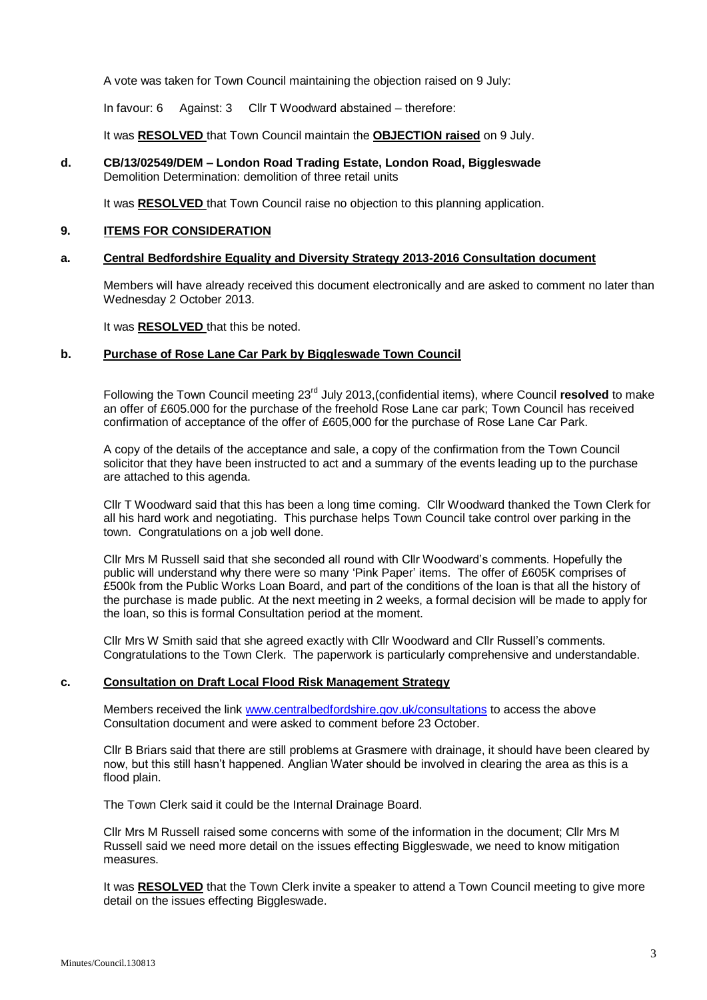A vote was taken for Town Council maintaining the objection raised on 9 July:

In favour: 6 Against: 3 Cllr T Woodward abstained – therefore:

It was **RESOLVED** that Town Council maintain the **OBJECTION raised** on 9 July.

**d. CB/13/02549/DEM – London Road Trading Estate, London Road, Biggleswade** Demolition Determination: demolition of three retail units

It was **RESOLVED** that Town Council raise no objection to this planning application.

#### **9. ITEMS FOR CONSIDERATION**

## **a. Central Bedfordshire Equality and Diversity Strategy 2013-2016 Consultation document**

Members will have already received this document electronically and are asked to comment no later than Wednesday 2 October 2013.

It was **RESOLVED** that this be noted.

#### **b. Purchase of Rose Lane Car Park by Biggleswade Town Council**

Following the Town Council meeting 23rd July 2013,(confidential items), where Council **resolved** to make an offer of £605.000 for the purchase of the freehold Rose Lane car park; Town Council has received confirmation of acceptance of the offer of £605,000 for the purchase of Rose Lane Car Park.

A copy of the details of the acceptance and sale, a copy of the confirmation from the Town Council solicitor that they have been instructed to act and a summary of the events leading up to the purchase are attached to this agenda.

Cllr T Woodward said that this has been a long time coming. Cllr Woodward thanked the Town Clerk for all his hard work and negotiating. This purchase helps Town Council take control over parking in the town. Congratulations on a job well done.

Cllr Mrs M Russell said that she seconded all round with Cllr Woodward's comments. Hopefully the public will understand why there were so many 'Pink Paper' items. The offer of £605K comprises of £500k from the Public Works Loan Board, and part of the conditions of the loan is that all the history of the purchase is made public. At the next meeting in 2 weeks, a formal decision will be made to apply for the loan, so this is formal Consultation period at the moment.

Cllr Mrs W Smith said that she agreed exactly with Cllr Woodward and Cllr Russell's comments. Congratulations to the Town Clerk. The paperwork is particularly comprehensive and understandable.

## **c. Consultation on Draft Local Flood Risk Management Strategy**

Members received the link [www.centralbedfordshire.gov.uk/consultations](http://www.centralbedfordshire.gov.uk/consultations) to access the above Consultation document and were asked to comment before 23 October.

Cllr B Briars said that there are still problems at Grasmere with drainage, it should have been cleared by now, but this still hasn't happened. Anglian Water should be involved in clearing the area as this is a flood plain.

The Town Clerk said it could be the Internal Drainage Board.

Cllr Mrs M Russell raised some concerns with some of the information in the document; Cllr Mrs M Russell said we need more detail on the issues effecting Biggleswade, we need to know mitigation measures.

It was **RESOLVED** that the Town Clerk invite a speaker to attend a Town Council meeting to give more detail on the issues effecting Biggleswade.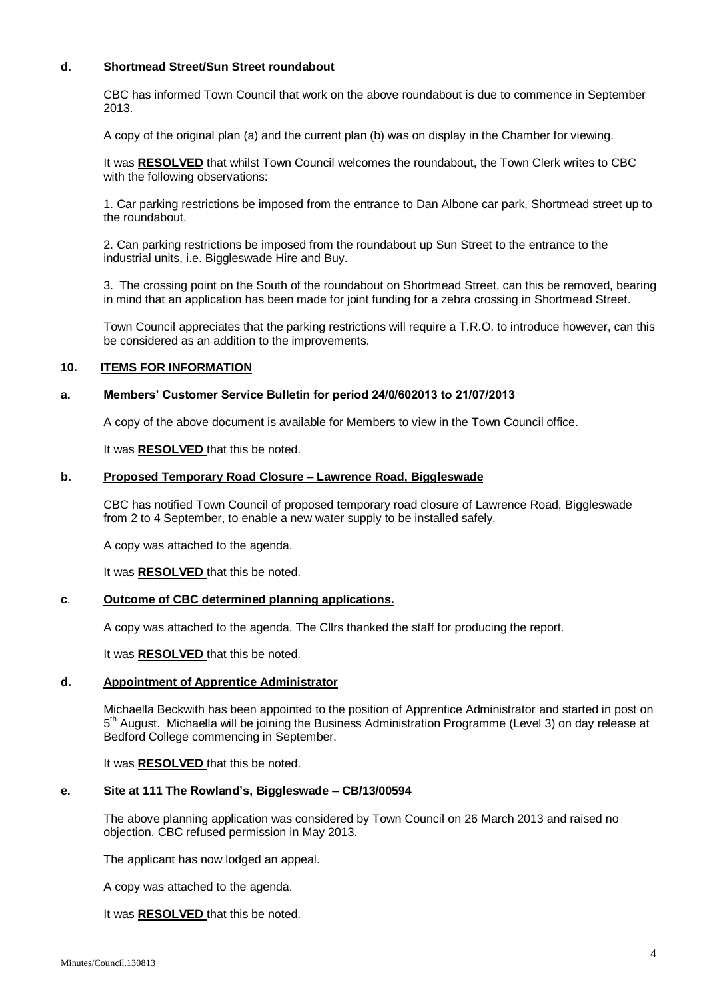## **d. Shortmead Street/Sun Street roundabout**

CBC has informed Town Council that work on the above roundabout is due to commence in September 2013.

A copy of the original plan (a) and the current plan (b) was on display in the Chamber for viewing.

It was **RESOLVED** that whilst Town Council welcomes the roundabout, the Town Clerk writes to CBC with the following observations:

1. Car parking restrictions be imposed from the entrance to Dan Albone car park, Shortmead street up to the roundabout.

2. Can parking restrictions be imposed from the roundabout up Sun Street to the entrance to the industrial units, i.e. Biggleswade Hire and Buy.

3. The crossing point on the South of the roundabout on Shortmead Street, can this be removed, bearing in mind that an application has been made for joint funding for a zebra crossing in Shortmead Street.

Town Council appreciates that the parking restrictions will require a T.R.O. to introduce however, can this be considered as an addition to the improvements.

## **10. ITEMS FOR INFORMATION**

## **a. Members' Customer Service Bulletin for period 24/0/602013 to 21/07/2013**

A copy of the above document is available for Members to view in the Town Council office.

It was **RESOLVED** that this be noted.

## **b. Proposed Temporary Road Closure – Lawrence Road, Biggleswade**

CBC has notified Town Council of proposed temporary road closure of Lawrence Road, Biggleswade from 2 to 4 September, to enable a new water supply to be installed safely.

A copy was attached to the agenda.

It was **RESOLVED** that this be noted.

#### **c**. **Outcome of CBC determined planning applications.**

A copy was attached to the agenda. The Cllrs thanked the staff for producing the report.

It was **RESOLVED** that this be noted.

## **d. Appointment of Apprentice Administrator**

Michaella Beckwith has been appointed to the position of Apprentice Administrator and started in post on 5<sup>th</sup> August. Michaella will be joining the Business Administration Programme (Level 3) on day release at Bedford College commencing in September.

It was **RESOLVED** that this be noted.

#### **e. Site at 111 The Rowland's, Biggleswade – CB/13/00594**

The above planning application was considered by Town Council on 26 March 2013 and raised no objection. CBC refused permission in May 2013.

The applicant has now lodged an appeal.

A copy was attached to the agenda.

It was **RESOLVED** that this be noted.